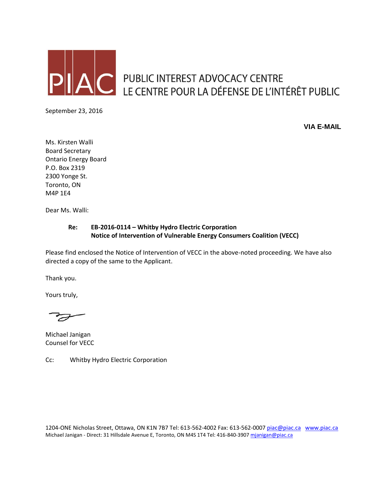

**C** PUBLIC INTEREST ADVOCACY CENTRE LE CENTRE POUR LA DÉFENSE DE L'INTÉRÊT PUBLIC

September 23, 2016

**VIA E-MAIL**

Ms. Kirsten Walli Board Secretary Ontario Energy Board P.O. Box 2319 2300 Yonge St. Toronto, ON M4P 1E4

Dear Ms. Walli:

#### **Re: EB-2016-0114 – Whitby Hydro Electric Corporation Notice of Intervention of Vulnerable Energy Consumers Coalition (VECC)**

Please find enclosed the Notice of Intervention of VECC in the above-noted proceeding. We have also directed a copy of the same to the Applicant.

Thank you.

Yours truly,

Michael Janigan Counsel for VECC

Cc: Whitby Hydro Electric Corporation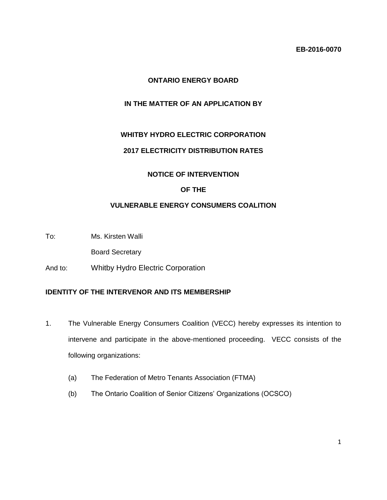# **ONTARIO ENERGY BOARD**

# **IN THE MATTER OF AN APPLICATION BY**

## **WHITBY HYDRO ELECTRIC CORPORATION**

## **2017 ELECTRICITY DISTRIBUTION RATES**

#### **NOTICE OF INTERVENTION**

## **OF THE**

## **VULNERABLE ENERGY CONSUMERS COALITION**

To: Ms. Kirsten Walli

Board Secretary

And to: Whitby Hydro Electric Corporation

## **IDENTITY OF THE INTERVENOR AND ITS MEMBERSHIP**

- 1. The Vulnerable Energy Consumers Coalition (VECC) hereby expresses its intention to intervene and participate in the above-mentioned proceeding. VECC consists of the following organizations:
	- (a) The Federation of Metro Tenants Association (FTMA)
	- (b) The Ontario Coalition of Senior Citizens' Organizations (OCSCO)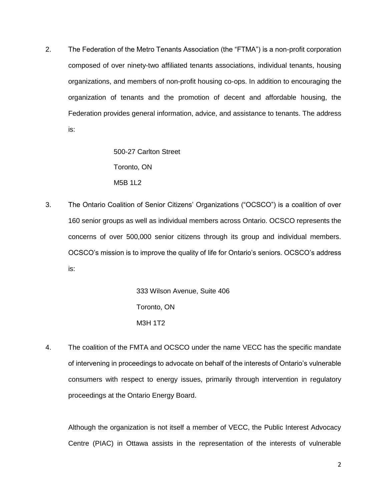2. The Federation of the Metro Tenants Association (the "FTMA") is a non-profit corporation composed of over ninety-two affiliated tenants associations, individual tenants, housing organizations, and members of non-profit housing co-ops. In addition to encouraging the organization of tenants and the promotion of decent and affordable housing, the Federation provides general information, advice, and assistance to tenants. The address is:

> 500-27 Carlton Street Toronto, ON M5B 1L2

3. The Ontario Coalition of Senior Citizens' Organizations ("OCSCO") is a coalition of over 160 senior groups as well as individual members across Ontario. OCSCO represents the concerns of over 500,000 senior citizens through its group and individual members. OCSCO's mission is to improve the quality of life for Ontario's seniors. OCSCO's address is:

> 333 Wilson Avenue, Suite 406 Toronto, ON M3H 1T2

4. The coalition of the FMTA and OCSCO under the name VECC has the specific mandate of intervening in proceedings to advocate on behalf of the interests of Ontario's vulnerable consumers with respect to energy issues, primarily through intervention in regulatory proceedings at the Ontario Energy Board.

Although the organization is not itself a member of VECC, the Public Interest Advocacy Centre (PIAC) in Ottawa assists in the representation of the interests of vulnerable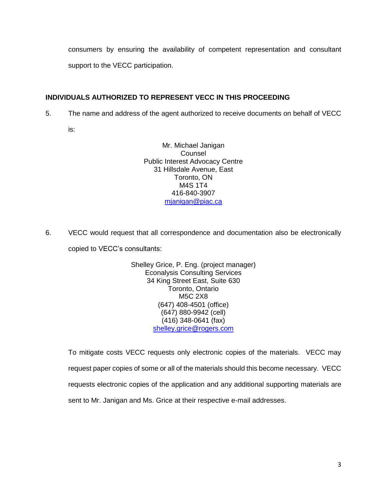consumers by ensuring the availability of competent representation and consultant support to the VECC participation.

# **INDIVIDUALS AUTHORIZED TO REPRESENT VECC IN THIS PROCEEDING**

5. The name and address of the agent authorized to receive documents on behalf of VECC

is:

Mr. Michael Janigan Counsel Public Interest Advocacy Centre 31 Hillsdale Avenue, East Toronto, ON M4S 1T4 416-840-3907 [mjanigan@piac.ca](mailto:mjanigan@piac.ca)

6. VECC would request that all correspondence and documentation also be electronically copied to VECC's consultants:

> Shelley Grice, P. Eng. (project manager) Econalysis Consulting Services 34 King Street East, Suite 630 Toronto, Ontario M5C 2X8 (647) 408-4501 (office) (647) 880-9942 (cell) (416) 348-0641 (fax) [shelley.grice@rogers.com](mailto:shelley.grice@rogers.com)

To mitigate costs VECC requests only electronic copies of the materials. VECC may request paper copies of some or all of the materials should this become necessary. VECC requests electronic copies of the application and any additional supporting materials are sent to Mr. Janigan and Ms. Grice at their respective e-mail addresses.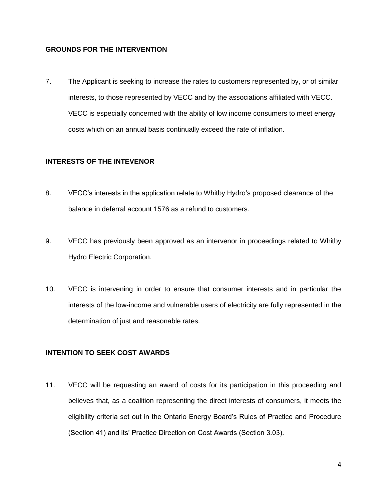#### **GROUNDS FOR THE INTERVENTION**

7. The Applicant is seeking to increase the rates to customers represented by, or of similar interests, to those represented by VECC and by the associations affiliated with VECC. VECC is especially concerned with the ability of low income consumers to meet energy costs which on an annual basis continually exceed the rate of inflation.

#### **INTERESTS OF THE INTEVENOR**

- 8. VECC's interests in the application relate to Whitby Hydro's proposed clearance of the balance in deferral account 1576 as a refund to customers.
- 9. VECC has previously been approved as an intervenor in proceedings related to Whitby Hydro Electric Corporation.
- 10. VECC is intervening in order to ensure that consumer interests and in particular the interests of the low-income and vulnerable users of electricity are fully represented in the determination of just and reasonable rates.

#### **INTENTION TO SEEK COST AWARDS**

11. VECC will be requesting an award of costs for its participation in this proceeding and believes that, as a coalition representing the direct interests of consumers, it meets the eligibility criteria set out in the Ontario Energy Board's Rules of Practice and Procedure (Section 41) and its' Practice Direction on Cost Awards (Section 3.03).